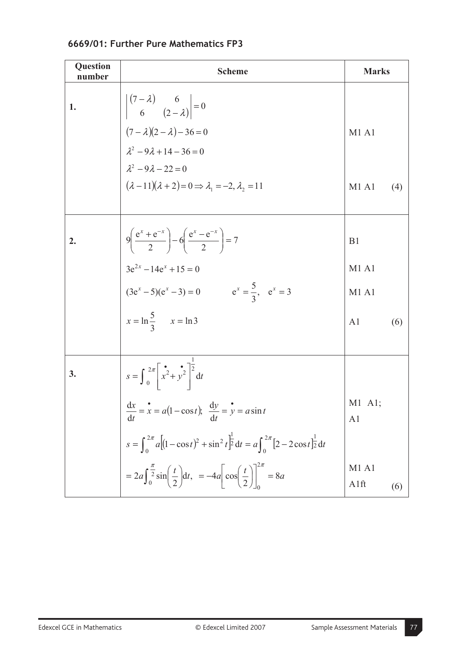| Question<br>number | <b>Scheme</b>                                                                                                                                                                                                                                                                  | <b>Marks</b>                  |     |
|--------------------|--------------------------------------------------------------------------------------------------------------------------------------------------------------------------------------------------------------------------------------------------------------------------------|-------------------------------|-----|
| 1.                 | $\begin{vmatrix} (7 - \lambda) & 6 \\ 6 & (2 - \lambda) \end{vmatrix} = 0$<br>$(7 - \lambda)(2 - \lambda) - 36 = 0$<br>$\lambda^2 - 9\lambda + 14 - 36 = 0$<br>$\lambda^2 - 9\lambda - 22 = 0$<br>$(\lambda - 11)(\lambda + 2) = 0 \Rightarrow \lambda_1 = -2, \lambda_2 = 11$ |                               |     |
|                    |                                                                                                                                                                                                                                                                                | M1A1                          |     |
|                    |                                                                                                                                                                                                                                                                                |                               |     |
|                    |                                                                                                                                                                                                                                                                                |                               |     |
|                    |                                                                                                                                                                                                                                                                                | M1A1                          | (4) |
|                    |                                                                                                                                                                                                                                                                                |                               |     |
| 2.                 | $9\left(\frac{e^{x}+e^{-x}}{2}\right)-6\left(\frac{e^{x}-e^{-x}}{2}\right)=7$                                                                                                                                                                                                  | B1                            |     |
|                    |                                                                                                                                                                                                                                                                                | M1A1                          |     |
|                    |                                                                                                                                                                                                                                                                                | M <sub>1</sub> A <sub>1</sub> |     |
|                    | $3e^{2x} - 14e^{x} + 15 = 0$<br>$(3e^{x} - 5)(e^{x} - 3) = 0$ $e^{x} = \frac{5}{3}, e^{x} = 3$<br>$x = \ln \frac{5}{3}$ $x = \ln 3$                                                                                                                                            | A1                            | (6) |
|                    |                                                                                                                                                                                                                                                                                |                               |     |
| 3.                 | $s = \int_0^{2\pi} \left[ x^2 + y^2 \right]^{\frac{1}{2}} dt$                                                                                                                                                                                                                  |                               |     |
|                    | $rac{\mathrm{d}x}{\mathrm{d}t} = \dot{x} = a(1 - \cos t);$ $\frac{\mathrm{d}y}{\mathrm{d}t} = \dot{y} = a\sin t$                                                                                                                                                               | $M1$ Al;<br>A <sub>1</sub>    |     |
|                    |                                                                                                                                                                                                                                                                                |                               |     |
|                    | $s = \int_0^{2\pi} a \left[ (1 - \cos t)^2 + \sin^2 t \right]_0^1 dt = a \int_0^{2\pi} [2 - 2\cos t]_2^1 dt$<br>= $2a \int_0^{\frac{\pi}{2}} \sin \left( \frac{t}{2} \right) dt$ , = $-4a \left[ \cos \left( \frac{t}{2} \right) \right]_0^{2\pi}$ = 8a                        | M1A1<br>A1ft                  | (6) |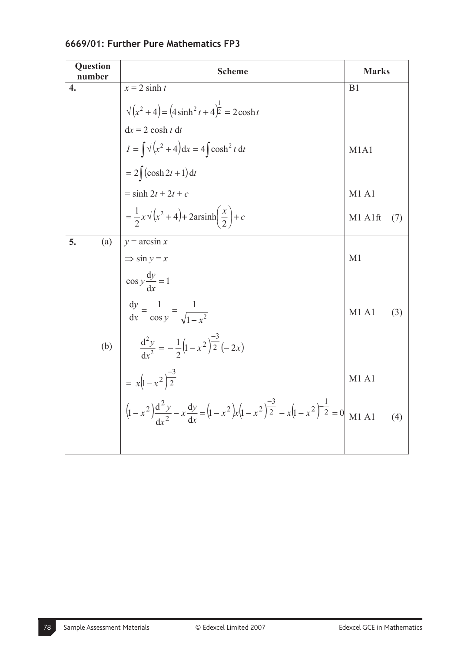| Question<br>number | <b>Scheme</b>                                                                                                                                                                        | <b>Marks</b>   |     |
|--------------------|--------------------------------------------------------------------------------------------------------------------------------------------------------------------------------------|----------------|-----|
| 4.                 | $x = 2 \sinh t$                                                                                                                                                                      | B <sub>1</sub> |     |
|                    | $\sqrt{x^2+4} = (4\sinh^2 t + 4)^{\frac{1}{2}} = 2\cosh t$                                                                                                                           |                |     |
|                    | $dx = 2 \cosh t dt$                                                                                                                                                                  |                |     |
|                    | $I = \int \sqrt{x^2 + 4} dx = 4 \int \cosh^2 t dt$                                                                                                                                   | M1A1           |     |
|                    | $=2\int (\cosh 2t+1) dt$                                                                                                                                                             |                |     |
|                    | $=$ sinh $2t + 2t + c$                                                                                                                                                               | M1 A1          |     |
|                    | $=\frac{1}{2}x\sqrt{x^2+4}+2ar sinh\left(\frac{x}{2}\right)+c$                                                                                                                       | M1 A1ft        | (7) |
| 5.<br>(a)          | $y = \arcsin x$                                                                                                                                                                      |                |     |
|                    | $\Rightarrow$ sin $y = x$                                                                                                                                                            | M <sub>1</sub> |     |
|                    | $\cos y \frac{dy}{dx} = 1$                                                                                                                                                           |                |     |
|                    | $rac{dy}{dx} = \frac{1}{\cos y} = \frac{1}{\sqrt{1 - x^2}}$                                                                                                                          | M1A1           | (3) |
| (b)                | $\frac{d^2y}{dx^2} = -\frac{1}{2}\left(1-x^2\right)^{-3}\frac{1}{2}(-2x)$                                                                                                            |                |     |
|                    |                                                                                                                                                                                      | M1 A1          |     |
|                    | = $x(1-x^2)^{\frac{-3}{2}}$<br>$\left(1-x^2\right)\frac{d^2y}{dx^2} - x\frac{dy}{dx} = \left(1-x^2\right)x\left(1-x^2\right)^{\frac{-3}{2}} - x\left(1-x^2\right)^{\frac{1}{2}} = 0$ | M1A1           | (4) |
|                    |                                                                                                                                                                                      |                |     |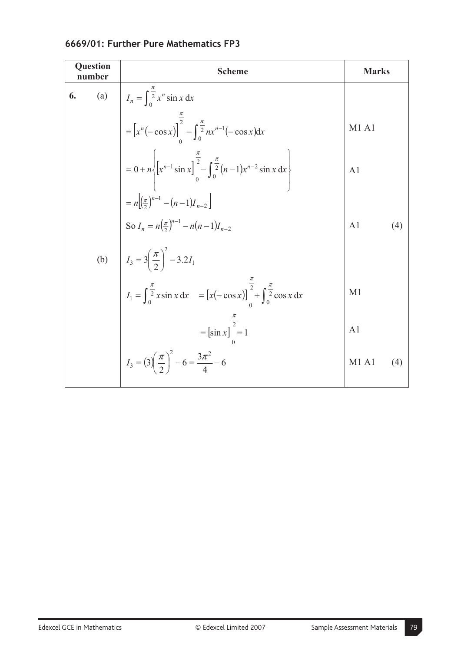| Question<br>number | <b>Scheme</b>                                                                                                                                                                                                                                                                                                                                                 | <b>Marks</b>        |  |
|--------------------|---------------------------------------------------------------------------------------------------------------------------------------------------------------------------------------------------------------------------------------------------------------------------------------------------------------------------------------------------------------|---------------------|--|
| (a)<br>6.          | $I_n = \int_0^{\frac{\pi}{2}} x^n \sin x \, dx$                                                                                                                                                                                                                                                                                                               |                     |  |
|                    | = $\left[x^n(-\cos x)\right]_0^{\frac{\pi}{2}} - \int_0^{\frac{\pi}{2}} nx^{n-1}(-\cos x)dx$                                                                                                                                                                                                                                                                  | <b>M1 A1</b>        |  |
|                    | = 0 + n $\left\{ [x^{n-1} \sin x]_0^{\frac{\pi}{2}} - \int_0^{\frac{\pi}{2}} (n-1) x^{n-2} \sin x \, dx \right\}$                                                                                                                                                                                                                                             | A <sub>1</sub>      |  |
|                    |                                                                                                                                                                                                                                                                                                                                                               | A1<br>(4)           |  |
|                    |                                                                                                                                                                                                                                                                                                                                                               |                     |  |
|                    | (b) $\begin{aligned}\n&= n \Big[ \frac{\pi}{2} \Big]^{n-1} - (n-1) I_{n-2} \Big] \\ \text{So } I_n &= n \Big( \frac{\pi}{2} \Big)^{n-1} - n (n-1) I_{n-2} \\ I_3 &= 3 \Big( \frac{\pi}{2} \Big)^2 - 3.2 I_1 \\ I_1 &= \int_0^{\frac{\pi}{2}} x \sin x \, dx = \Big[ x (-\cos x) \Big]_0^{\frac{\pi}{2}} + \int_0^{\frac{\pi}{2}} \cos x \, dx\n\end{aligned}$ | M <sub>1</sub>      |  |
|                    | = $\left[\sin x\right]_0^{\frac{\pi}{2}}$ = 1                                                                                                                                                                                                                                                                                                                 | A <sub>1</sub>      |  |
|                    | $I_3 = (3)(\frac{\pi}{2})^2 - 6 = \frac{3\pi^2}{4} - 6$                                                                                                                                                                                                                                                                                                       | <b>M1 A1</b><br>(4) |  |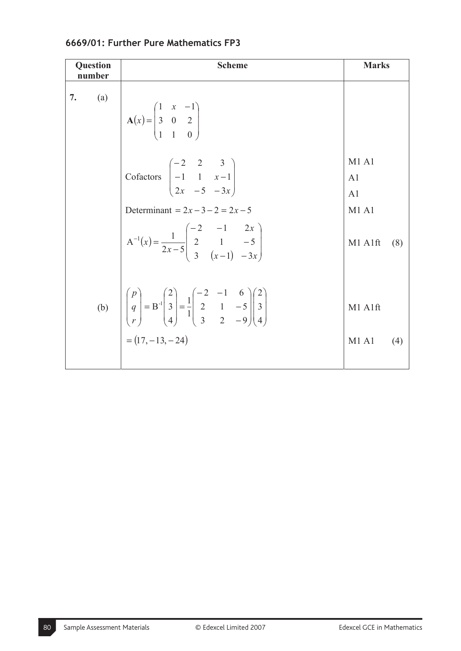| <b>Question</b><br>number | <b>Scheme</b>                                                                                                                                                                                                                                         | <b>Marks</b>                                                               |
|---------------------------|-------------------------------------------------------------------------------------------------------------------------------------------------------------------------------------------------------------------------------------------------------|----------------------------------------------------------------------------|
| 7.<br>(a)                 | $A(x) = \begin{pmatrix} 1 & x & -1 \\ 3 & 0 & 2 \\ 1 & 1 & 0 \end{pmatrix}$                                                                                                                                                                           |                                                                            |
|                           | Cofactors $\begin{pmatrix} -2 & 2 & 3 \\ -1 & 1 & x-1 \\ 2x & -5 & -3x \end{pmatrix}$<br>Determinant = $2x - 3 - 2 = 2x - 5$<br>$A^{-1}(x) = \frac{1}{2x-5} \begin{pmatrix} -2 & -1 & 2x \\ 2 & 1 & -5 \\ 3 & (x-1) & -3x \end{pmatrix}$              | M1A1<br>A <sub>1</sub><br>A <sub>1</sub><br><b>M1 A1</b><br>M1 A1ft<br>(8) |
|                           | (b) $\begin{vmatrix} p \\ q \\ r \end{vmatrix} = B^{-1} \begin{vmatrix} 2 \\ 3 \\ 4 \end{vmatrix} = \frac{1}{1} \begin{vmatrix} -2 & -1 & 6 \\ 2 & 1 & -5 \\ 3 & 2 & -9 \end{vmatrix} \begin{vmatrix} 2 \\ 3 \\ 4 \end{vmatrix}$<br>$=(17, -13, -24)$ | M1 A1ft<br>M1 A1<br>(4)                                                    |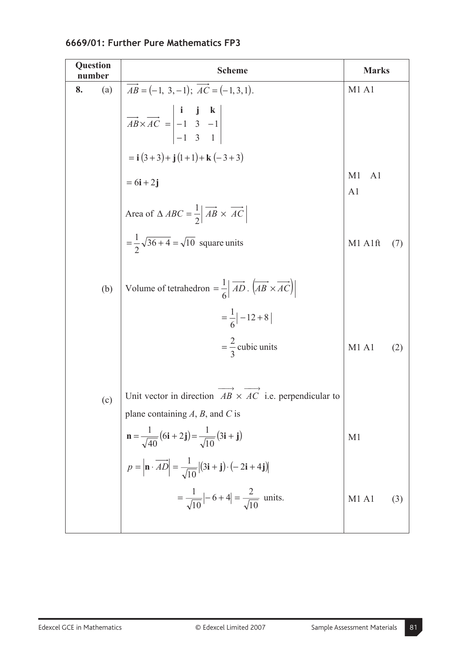| <b>Question</b><br>number | <b>Scheme</b>                                                                                                                                                | <b>Marks</b>                           |     |
|---------------------------|--------------------------------------------------------------------------------------------------------------------------------------------------------------|----------------------------------------|-----|
| (a)<br>8.                 | $\overrightarrow{AB} = (-1, 3, -1); \overrightarrow{AC} = (-1, 3, 1).$                                                                                       | M1A1                                   |     |
|                           | $\overrightarrow{AB} \times \overrightarrow{AC} = \begin{vmatrix} \mathbf{i} & \mathbf{j} & \mathbf{k} \\ -1 & 3 & -1 \\ -1 & 3 & 1 \end{vmatrix}$           |                                        |     |
|                           | $= i (3+3) + j (1+1) + k (-3+3)$                                                                                                                             |                                        |     |
|                           | $= 6i + 2j$                                                                                                                                                  | M1<br>A <sub>1</sub><br>A <sub>1</sub> |     |
|                           | Area of $\triangle ABC = \frac{1}{2} \overrightarrow{AB} \times \overrightarrow{AC}$                                                                         |                                        |     |
|                           | $=\frac{1}{2}\sqrt{36+4}=\sqrt{10}$ square units                                                                                                             | M1 A1ft                                | (7) |
| (b)                       | Volume of tetrahedron = $\frac{1}{6}$ $\left  \overrightarrow{AD} \cdot \left( \overrightarrow{AB} \times \overrightarrow{AC} \right) \right $               |                                        |     |
|                           | $=\frac{1}{6}$ - 12 + 8                                                                                                                                      |                                        |     |
|                           | $=\frac{2}{3}$ cubic units                                                                                                                                   | M1A1                                   | (2) |
| (c)                       | Unit vector in direction $AB \times AC$ i.e. perpendicular to                                                                                                |                                        |     |
|                           | plane containing $A$ , $B$ , and $C$ is                                                                                                                      |                                        |     |
|                           | $\mathbf{n} = \frac{1}{\sqrt{40}}(6\mathbf{i} + 2\mathbf{j}) = \frac{1}{\sqrt{10}}(3\mathbf{i} + \mathbf{j})$                                                | M <sub>1</sub>                         |     |
|                           | $p = \left  \mathbf{n} \cdot \overrightarrow{AD} \right  = \frac{1}{\sqrt{10}} \left  (3\mathbf{i} + \mathbf{j}) \cdot (-2\mathbf{i} + 4\mathbf{j}) \right $ |                                        |     |
|                           | $=\frac{1}{\sqrt{10}}$ $\left -6+4\right =\frac{2}{\sqrt{10}}$ units.                                                                                        | M1 A1                                  | (3) |
|                           |                                                                                                                                                              |                                        |     |